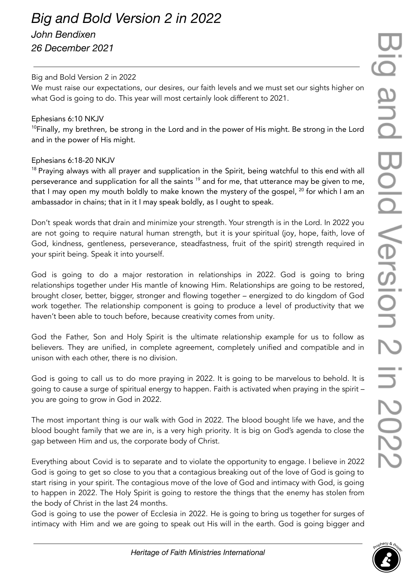# *Big and Bold Version 2 in 2022*

## *John Bendixen 26 December 2021*

### Big and Bold Version 2 in 2022

We must raise our expectations, our desires, our faith levels and we must set our sights higher on what God is going to do. This year will most certainly look different to 2021.

#### Ephesians 6:10 NKJV

<sup>10</sup>Finally, my brethren, be strong in the Lord and in the power of His might. Be strong in the Lord and in the power of His might.

### Ephesians 6:18-20 NKJV

<sup>18</sup> Praying always with all prayer and supplication in the Spirit, being watchful to this end with all perseverance and supplication for all the saints <sup>19</sup> and for me, that utterance may be given to me, that I may open my mouth boldly to make known the mystery of the gospel, <sup>20</sup> for which I am an ambassador in chains; that in it I may speak boldly, as I ought to speak.

Don't speak words that drain and minimize your strength. Your strength is in the Lord. In 2022 you are not going to require natural human strength, but it is your spiritual (joy, hope, faith, love of God, kindness, gentleness, perseverance, steadfastness, fruit of the spirit) strength required in your spirit being. Speak it into yourself.

God is going to do a major restoration in relationships in 2022. God is going to bring relationships together under His mantle of knowing Him. Relationships are going to be restored, brought closer, better, bigger, stronger and flowing together – energized to do kingdom of God work together. The relationship component is going to produce a level of productivity that we haven't been able to touch before, because creativity comes from unity.

God the Father, Son and Holy Spirit is the ultimate relationship example for us to follow as believers. They are unified, in complete agreement, completely unified and compatible and in unison with each other, there is no division.

God is going to call us to do more praying in 2022. It is going to be marvelous to behold. It is going to cause a surge of spiritual energy to happen. Faith is activated when praying in the spirit – you are going to grow in God in 2022.

The most important thing is our walk with God in 2022. The blood bought life we have, and the blood bought family that we are in, is a very high priority. It is big on God's agenda to close the gap between Him and us, the corporate body of Christ.

Everything about Covid is to separate and to violate the opportunity to engage. I believe in 2022 God is going to get so close to you that a contagious breaking out of the love of God is going to start rising in your spirit. The contagious move of the love of God and intimacy with God, is going to happen in 2022. The Holy Spirit is going to restore the things that the enemy has stolen from the body of Christ in the last 24 months.

God is going to use the power of Ecclesia in 2022. He is going to bring us together for surges of intimacy with Him and we are going to speak out His will in the earth. God is going bigger and